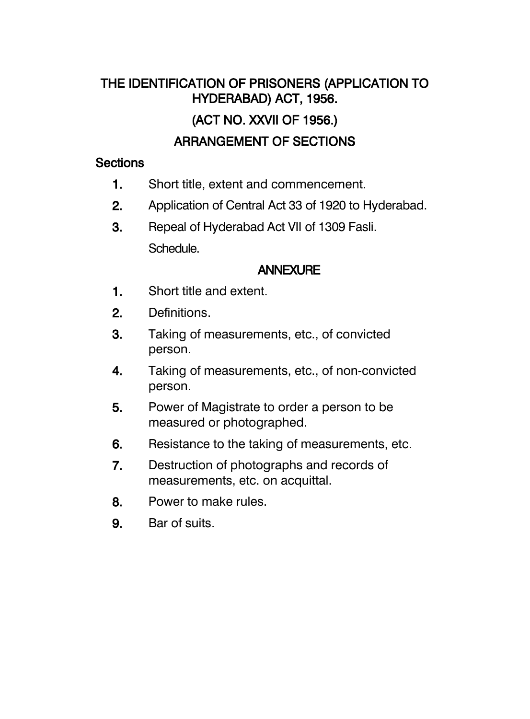## THE IDENTIFICATION OF PRISONERS (APPLICATION TO HYDERABAD) ACT, 1956. (ACT NO. XXVII OF 1956.) ARRANGEMENT OF SECTIONS

#### **Sections**

- 1. Short title, extent and commencement.
- 2. Application of Central Act 33 of 1920 to Hyderabad.
- 3. Repeal of Hyderabad Act VII of 1309 Fasli. Schedule.

#### **ANNEXURE**

- 1. Short title and extent.
- 2. Definitions.
- 3. Taking of measurements, etc., of convicted person.
- 4. Taking of measurements, etc., of non-convicted person.
- 5. Power of Magistrate to order a person to be measured or photographed.
- 6. Resistance to the taking of measurements, etc.
- 7. Destruction of photographs and records of measurements, etc. on acquittal.
- 8. Power to make rules.
- 9. Bar of suits.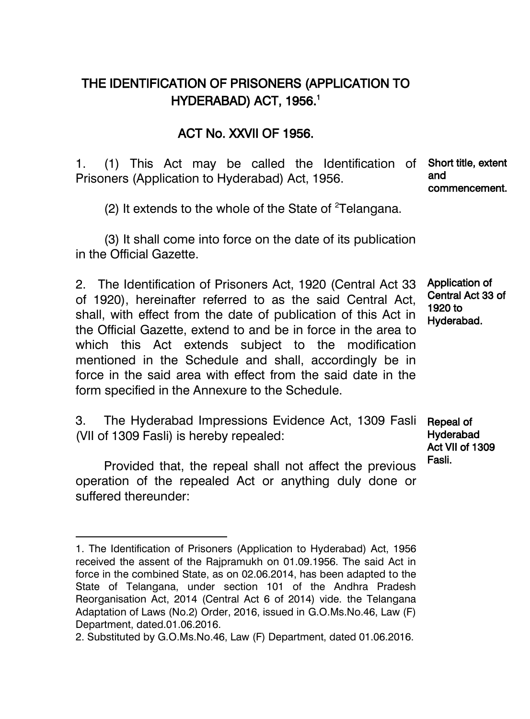### THE IDENTIFICATION OF PRISONERS (APPLICATION TO HYDERABAD) ACT, 1956. 1

#### ACT No. XXVII OF 1956.

1. (1) This Act may be called the Identification of Prisoners (Application to Hyderabad) Act, 1956. Short title, extent and

# commencement.

(2) It extends to the whole of the State of  $2$ Telangana.

(3) It shall come into force on the date of its publication in the Official Gazette.

2. The Identification of Prisoners Act, 1920 (Central Act 33 of 1920), hereinafter referred to as the said Central Act, shall, with effect from the date of publication of this Act in the Official Gazette, extend to and be in force in the area to which this Act extends subject to the modification mentioned in the Schedule and shall, accordingly be in force in the said area with effect from the said date in the form specified in the Annexure to the Schedule. Application of Central Act 33 of 1920 to Hyderabad.

3. The Hyderabad Impressions Evidence Act, 1309 Fasli Repeal of (VII of 1309 Fasli) is hereby repealed:

Hyderabad Act VII of 1309 Fasli.

Provided that, the repeal shall not affect the previous operation of the repealed Act or anything duly done or suffered thereunder:

 $\overline{\phantom{a}}$ 

<sup>1.</sup> The Identification of Prisoners (Application to Hyderabad) Act, 1956 received the assent of the Rajpramukh on 01.09.1956. The said Act in force in the combined State, as on 02.06.2014, has been adapted to the State of Telangana, under section 101 of the Andhra Pradesh Reorganisation Act, 2014 (Central Act 6 of 2014) vide. the Telangana Adaptation of Laws (No.2) Order, 2016, issued in G.O.Ms.No.46, Law (F) Department, dated.01.06.2016.

<sup>2.</sup> Substituted by G.O.Ms.No.46, Law (F) Department, dated 01.06.2016.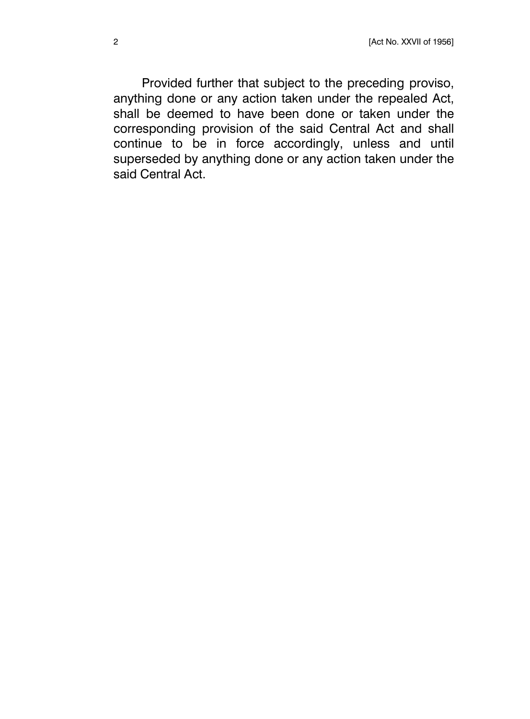Provided further that subject to the preceding proviso, anything done or any action taken under the repealed Act, shall be deemed to have been done or taken under the corresponding provision of the said Central Act and shall continue to be in force accordingly, unless and until superseded by anything done or any action taken under the said Central Act.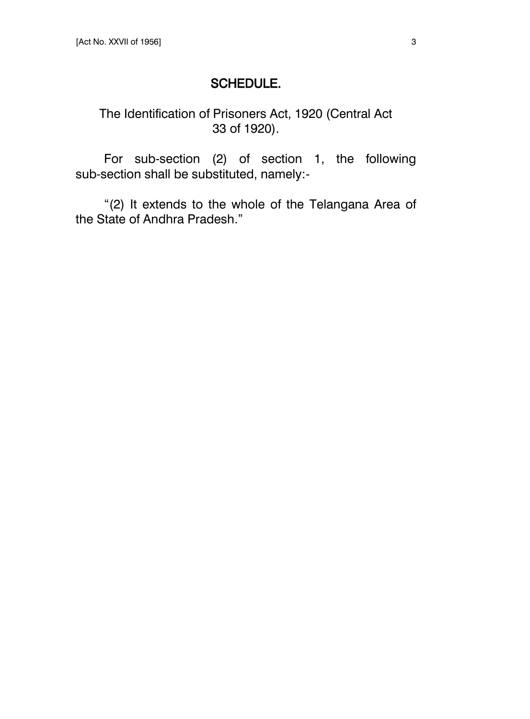#### SCHEDULE.

The Identification of Prisoners Act, 1920 (Central Act 33 of 1920).

For sub-section (2) of section 1, the following sub-section shall be substituted, namely:-

"(2) It extends to the whole of the Telangana Area of the State of Andhra Pradesh."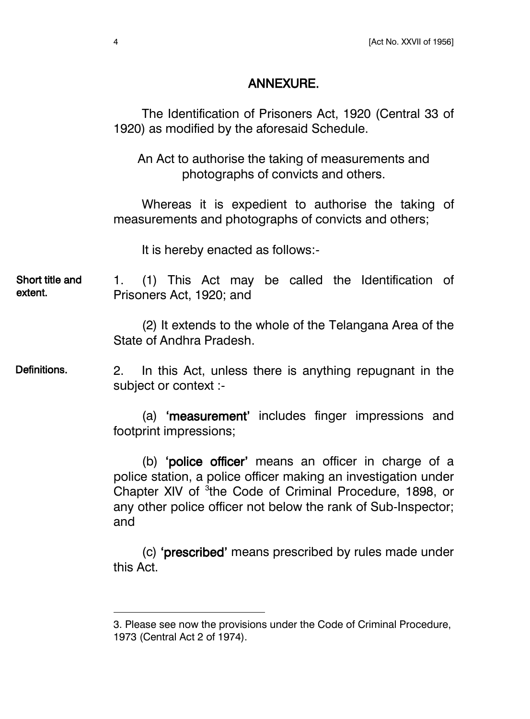#### ANNEXURE.

|                            | The Identification of Prisoners Act, 1920 (Central 33 of<br>1920) as modified by the aforesaid Schedule.                                                                                                                                                               |
|----------------------------|------------------------------------------------------------------------------------------------------------------------------------------------------------------------------------------------------------------------------------------------------------------------|
|                            | An Act to authorise the taking of measurements and<br>photographs of convicts and others.                                                                                                                                                                              |
|                            | Whereas it is expedient to authorise the taking of<br>measurements and photographs of convicts and others;                                                                                                                                                             |
|                            | It is hereby enacted as follows:-                                                                                                                                                                                                                                      |
| Short title and<br>extent. | (1) This Act may be called the Identification of<br>1.<br>Prisoners Act, 1920; and                                                                                                                                                                                     |
|                            | (2) It extends to the whole of the Telangana Area of the<br>State of Andhra Pradesh.                                                                                                                                                                                   |
| Definitions.               | In this Act, unless there is anything repugnant in the<br>2.<br>subject or context :-                                                                                                                                                                                  |
|                            | (a) 'measurement' includes finger impressions and<br>footprint impressions;                                                                                                                                                                                            |
|                            | (b) 'police officer' means an officer in charge of a<br>police station, a police officer making an investigation under<br>Chapter XIV of <sup>3</sup> the Code of Criminal Procedure, 1898, or<br>any other police officer not below the rank of Sub-Inspector;<br>and |
|                            | (c) 'prescribed' means prescribed by rules made under                                                                                                                                                                                                                  |

l

this Act.

<sup>3.</sup> Please see now the provisions under the Code of Criminal Procedure, 1973 (Central Act 2 of 1974).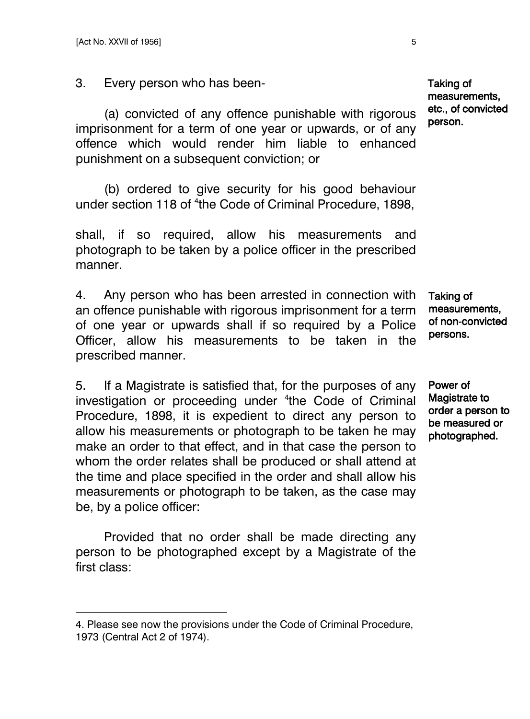l

3. Every person who has been-

(a) convicted of any offence punishable with rigorous imprisonment for a term of one year or upwards, or of any offence which would render him liable to enhanced punishment on a subsequent conviction; or

(b) ordered to give security for his good behaviour under section 118 of <sup>4</sup>the Code of Criminal Procedure, 1898,

shall, if so required, allow his measurements and photograph to be taken by a police officer in the prescribed manner.

4. Any person who has been arrested in connection with an offence punishable with rigorous imprisonment for a term of one year or upwards shall if so required by a Police Officer, allow his measurements to be taken in the prescribed manner.

5. If a Magistrate is satisfied that, for the purposes of any investigation or proceeding under <sup>4</sup>the Code of Criminal Procedure, 1898, it is expedient to direct any person to allow his measurements or photograph to be taken he may make an order to that effect, and in that case the person to whom the order relates shall be produced or shall attend at the time and place specified in the order and shall allow his measurements or photograph to be taken, as the case may be, by a police officer:

Provided that no order shall be made directing any person to be photographed except by a Magistrate of the first class:

Taking of measurements, etc., of convicted person.

Taking of measurements, of non-convicted persons.

Power of Magistrate to order a person to be measured or photographed.

<sup>4.</sup> Please see now the provisions under the Code of Criminal Procedure, 1973 (Central Act 2 of 1974).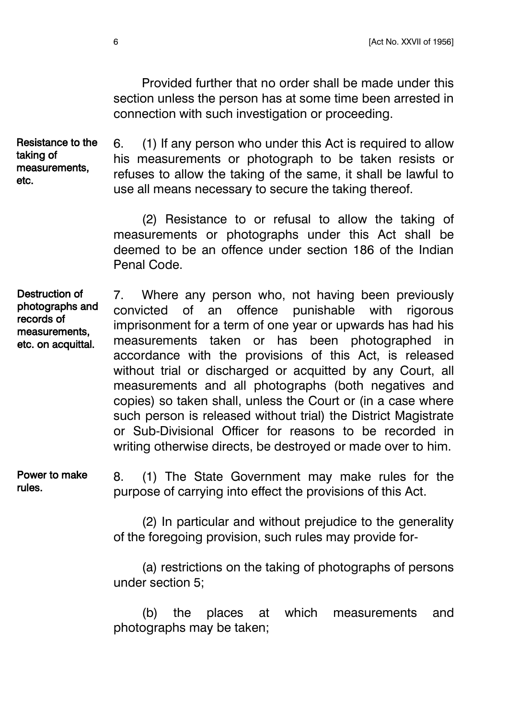Provided further that no order shall be made under this section unless the person has at some time been arrested in connection with such investigation or proceeding.

6. (1) If any person who under this Act is required to allow his measurements or photograph to be taken resists or refuses to allow the taking of the same, it shall be lawful to use all means necessary to secure the taking thereof. Resistance to the taking of measurements, etc.

> (2) Resistance to or refusal to allow the taking of measurements or photographs under this Act shall be deemed to be an offence under section 186 of the Indian Penal Code.

7. Where any person who, not having been previously convicted of an offence punishable with rigorous imprisonment for a term of one year or upwards has had his measurements taken or has been photographed in accordance with the provisions of this Act, is released without trial or discharged or acquitted by any Court, all measurements and all photographs (both negatives and copies) so taken shall, unless the Court or (in a case where such person is released without trial) the District Magistrate or Sub-Divisional Officer for reasons to be recorded in writing otherwise directs, be destroyed or made over to him. Destruction of photographs and records of measurements, etc. on acquittal.

8. (1) The State Government may make rules for the purpose of carrying into effect the provisions of this Act. Power to make rules.

> (2) In particular and without prejudice to the generality of the foregoing provision, such rules may provide for-

> (a) restrictions on the taking of photographs of persons under section 5;

> (b) the places at which measurements and photographs may be taken;